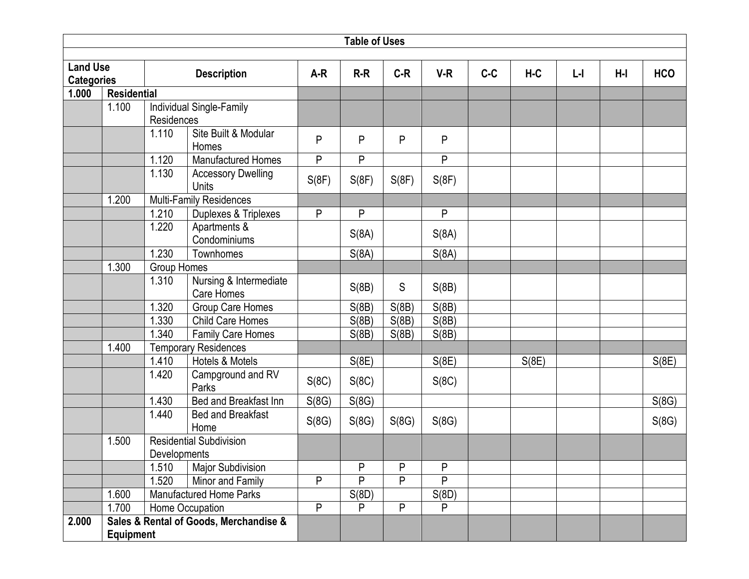|                                      | <b>Table of Uses</b> |              |                                        |       |       |       |       |       |       |         |       |            |  |  |
|--------------------------------------|----------------------|--------------|----------------------------------------|-------|-------|-------|-------|-------|-------|---------|-------|------------|--|--|
|                                      |                      |              |                                        |       |       |       |       |       |       |         |       |            |  |  |
| <b>Land Use</b><br><b>Categories</b> |                      |              | <b>Description</b>                     | $A-R$ | $R-R$ | $C-R$ | $V-R$ | $C-C$ | $H-C$ | $L - I$ | $H-I$ | <b>HCO</b> |  |  |
| 1.000                                | <b>Residential</b>   |              |                                        |       |       |       |       |       |       |         |       |            |  |  |
|                                      | 1.100                |              | Individual Single-Family               |       |       |       |       |       |       |         |       |            |  |  |
|                                      |                      | Residences   |                                        |       |       |       |       |       |       |         |       |            |  |  |
|                                      |                      | 1.110        | Site Built & Modular                   | P     | P     | P     | P     |       |       |         |       |            |  |  |
|                                      |                      |              | Homes                                  |       |       |       |       |       |       |         |       |            |  |  |
|                                      |                      | 1.120        | <b>Manufactured Homes</b>              | P     | P     |       | P     |       |       |         |       |            |  |  |
|                                      |                      | 1.130        | <b>Accessory Dwelling</b><br>Units     | S(8F) | S(8F) | S(8F) | S(8F) |       |       |         |       |            |  |  |
|                                      | 1.200                |              | Multi-Family Residences                |       |       |       |       |       |       |         |       |            |  |  |
|                                      |                      | 1.210        | Duplexes & Triplexes                   | P     | P     |       | P     |       |       |         |       |            |  |  |
|                                      |                      | 1.220        | Apartments &<br>Condominiums           |       | S(8A) |       | S(8A) |       |       |         |       |            |  |  |
|                                      |                      | 1.230        | Townhomes                              |       | S(8A) |       | S(8A) |       |       |         |       |            |  |  |
|                                      | 1.300                |              | <b>Group Homes</b>                     |       |       |       |       |       |       |         |       |            |  |  |
|                                      |                      | 1.310        | Nursing & Intermediate<br>Care Homes   |       | S(8B) | S     | S(8B) |       |       |         |       |            |  |  |
|                                      |                      | 1.320        | Group Care Homes                       |       | S(8B) | S(8B) | S(8B) |       |       |         |       |            |  |  |
|                                      |                      | 1.330        | Child Care Homes                       |       | S(8B) | S(8B) | S(8B) |       |       |         |       |            |  |  |
|                                      |                      | .340         | Family Care Homes                      |       | S(8B) | S(8B) | S(8B) |       |       |         |       |            |  |  |
|                                      | 1.400                |              | <b>Temporary Residences</b>            |       |       |       |       |       |       |         |       |            |  |  |
|                                      |                      | 1.410        | Hotels & Motels                        |       | S(8E) |       | S(8E) |       | S(8E) |         |       | S(8E)      |  |  |
|                                      |                      | 1.420        | Campground and RV<br>Parks             | S(8C) | S(8C) |       | S(8C) |       |       |         |       |            |  |  |
|                                      |                      | 1.430        | Bed and Breakfast Inn                  | S(8G) | S(8G) |       |       |       |       |         |       | S(8G)      |  |  |
|                                      |                      | 1.440        | <b>Bed and Breakfast</b><br>Home       | S(8G) | S(8G) | S(8G) | S(8G) |       |       |         |       | S(8G)      |  |  |
|                                      | 1.500                |              | <b>Residential Subdivision</b>         |       |       |       |       |       |       |         |       |            |  |  |
|                                      |                      | Developments |                                        |       |       |       |       |       |       |         |       |            |  |  |
|                                      |                      | 1.510        | <b>Major Subdivision</b>               |       | P     | P     | P     |       |       |         |       |            |  |  |
|                                      |                      | 1.520        | Minor and Family                       | P     | P     | P     | P     |       |       |         |       |            |  |  |
|                                      | 1.600                |              | <b>Manufactured Home Parks</b>         |       | S(8D) |       | S(8D) |       |       |         |       |            |  |  |
|                                      | 1.700                |              | Home Occupation                        | P     | P     | P     | P     |       |       |         |       |            |  |  |
| 2.000                                |                      |              | Sales & Rental of Goods, Merchandise & |       |       |       |       |       |       |         |       |            |  |  |
|                                      | <b>Equipment</b>     |              |                                        |       |       |       |       |       |       |         |       |            |  |  |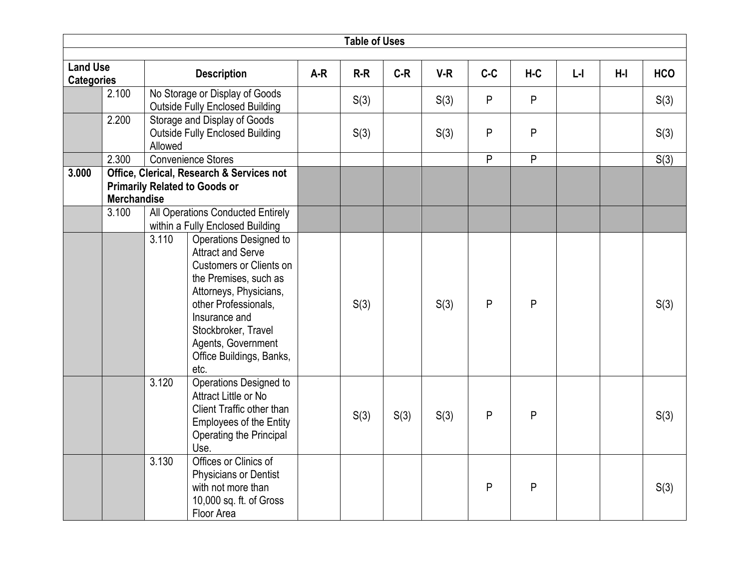|                                      |                    |         |                                                                                                                                                                                                                                                                   |       | <b>Table of Uses</b> |       |       |       |           |         |     |            |
|--------------------------------------|--------------------|---------|-------------------------------------------------------------------------------------------------------------------------------------------------------------------------------------------------------------------------------------------------------------------|-------|----------------------|-------|-------|-------|-----------|---------|-----|------------|
|                                      |                    |         |                                                                                                                                                                                                                                                                   |       |                      |       |       |       |           |         |     |            |
| <b>Land Use</b><br><b>Categories</b> |                    |         | <b>Description</b>                                                                                                                                                                                                                                                | $A-R$ | $R-R$                | $C-R$ | $V-R$ | $C-C$ | $H-C$     | $L - I$ | H-I | <b>HCO</b> |
|                                      | 2.100              |         | No Storage or Display of Goods<br><b>Outside Fully Enclosed Building</b>                                                                                                                                                                                          |       | S(3)                 |       | S(3)  | P     | P         |         |     | S(3)       |
|                                      | 2.200              | Allowed | Storage and Display of Goods<br><b>Outside Fully Enclosed Building</b>                                                                                                                                                                                            |       | S(3)                 |       | S(3)  | P     | ${\sf P}$ |         |     | S(3)       |
|                                      | 2.300              |         | <b>Convenience Stores</b>                                                                                                                                                                                                                                         |       |                      |       |       | P     | P         |         |     | S(3)       |
| 3.000                                | <b>Merchandise</b> |         | Office, Clerical, Research & Services not<br><b>Primarily Related to Goods or</b>                                                                                                                                                                                 |       |                      |       |       |       |           |         |     |            |
|                                      | 3.100              |         | <b>All Operations Conducted Entirely</b><br>within a Fully Enclosed Building                                                                                                                                                                                      |       |                      |       |       |       |           |         |     |            |
|                                      |                    | 3.110   | Operations Designed to<br><b>Attract and Serve</b><br><b>Customers or Clients on</b><br>the Premises, such as<br>Attorneys, Physicians,<br>other Professionals,<br>Insurance and<br>Stockbroker, Travel<br>Agents, Government<br>Office Buildings, Banks,<br>etc. |       | S(3)                 |       | S(3)  | P     | ${\sf P}$ |         |     | S(3)       |
|                                      |                    | 3.120   | Operations Designed to<br>Attract Little or No<br>Client Traffic other than<br><b>Employees of the Entity</b><br>Operating the Principal<br>Use.                                                                                                                  |       | S(3)                 | S(3)  | S(3)  | P     | P         |         |     | S(3)       |
|                                      |                    | 3.130   | Offices or Clinics of<br><b>Physicians or Dentist</b><br>with not more than<br>10,000 sq. ft. of Gross<br>Floor Area                                                                                                                                              |       |                      |       |       | P     | ${\sf P}$ |         |     | S(3)       |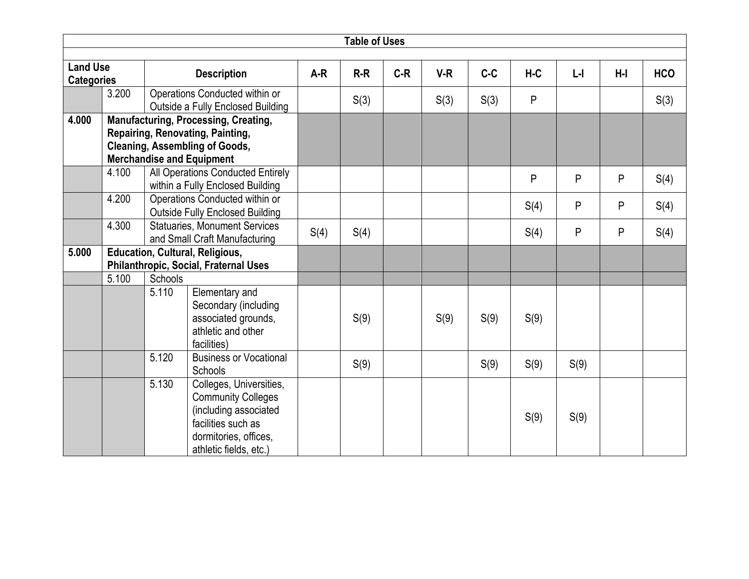|                                                            |       |         |                                                                                                                                                              |       | <b>Table of Uses</b> |       |       |       |         |       |            |      |
|------------------------------------------------------------|-------|---------|--------------------------------------------------------------------------------------------------------------------------------------------------------------|-------|----------------------|-------|-------|-------|---------|-------|------------|------|
|                                                            |       |         |                                                                                                                                                              |       |                      |       |       |       |         |       |            |      |
| <b>Land Use</b><br><b>Description</b><br><b>Categories</b> |       |         | $A-R$                                                                                                                                                        | $R-R$ | $C-R$                | $V-R$ | $C-C$ | $H-C$ | $L - I$ | $H-I$ | <b>HCO</b> |      |
|                                                            | 3.200 |         | Operations Conducted within or<br>Outside a Fully Enclosed Building                                                                                          |       | S(3)                 |       | S(3)  | S(3)  | P       |       |            | S(3) |
| 4.000                                                      |       |         | <b>Manufacturing, Processing, Creating,</b><br>Repairing, Renovating, Painting,<br><b>Cleaning, Assembling of Goods,</b><br><b>Merchandise and Equipment</b> |       |                      |       |       |       |         |       |            |      |
|                                                            | 4.100 |         | All Operations Conducted Entirely<br>within a Fully Enclosed Building                                                                                        |       |                      |       |       |       | P       | P     | P          | S(4) |
|                                                            | 4.200 |         | Operations Conducted within or<br><b>Outside Fully Enclosed Building</b>                                                                                     |       |                      |       |       |       | S(4)    | P     | P          | S(4) |
|                                                            | 4.300 |         | <b>Statuaries, Monument Services</b><br>and Small Craft Manufacturing                                                                                        |       | S(4)                 |       |       |       | S(4)    | P     | P          | S(4) |
| 5.000                                                      |       |         | <b>Education, Cultural, Religious,</b><br>Philanthropic, Social, Fraternal Uses                                                                              |       |                      |       |       |       |         |       |            |      |
|                                                            | 5.100 | Schools |                                                                                                                                                              |       |                      |       |       |       |         |       |            |      |
|                                                            |       | 5.110   | Elementary and<br>Secondary (including<br>associated grounds,<br>athletic and other<br>facilities)                                                           |       | S(9)                 |       | S(9)  | S(9)  | S(9)    |       |            |      |
|                                                            |       | 5.120   | <b>Business or Vocational</b><br>Schools                                                                                                                     |       | S(9)                 |       |       | S(9)  | S(9)    | S(9)  |            |      |
|                                                            |       | 5.130   | Colleges, Universities,<br><b>Community Colleges</b><br>(including associated<br>facilities such as<br>dormitories, offices,<br>athletic fields, etc.)       |       |                      |       |       |       | S(9)    | S(9)  |            |      |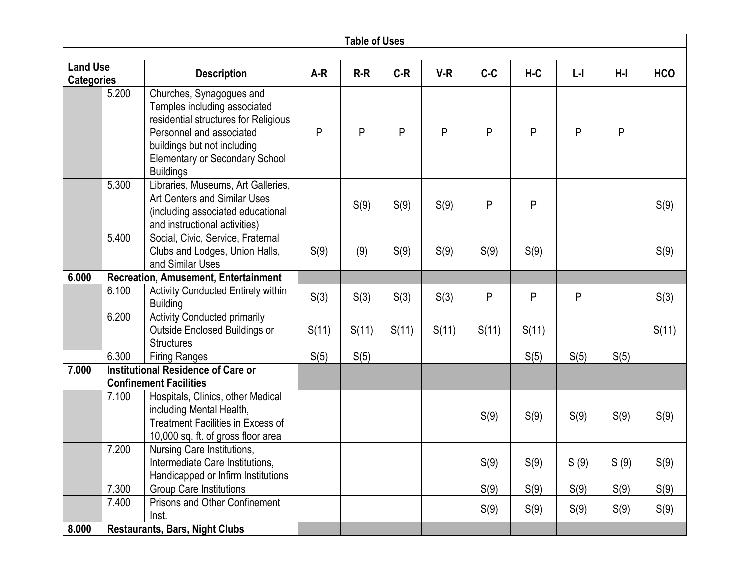|                                      |       |                                                                                                                                                                                                                          |       | <b>Table of Uses</b> |       |       |       |              |         |       |            |
|--------------------------------------|-------|--------------------------------------------------------------------------------------------------------------------------------------------------------------------------------------------------------------------------|-------|----------------------|-------|-------|-------|--------------|---------|-------|------------|
|                                      |       |                                                                                                                                                                                                                          |       |                      |       |       |       |              |         |       |            |
| <b>Land Use</b><br><b>Categories</b> |       | <b>Description</b>                                                                                                                                                                                                       | $A-R$ | $R-R$                | $C-R$ | $V-R$ | $C-C$ | $H-C$        | $L - I$ | $H-I$ | <b>HCO</b> |
|                                      | 5.200 | Churches, Synagogues and<br>Temples including associated<br>residential structures for Religious<br>Personnel and associated<br>buildings but not including<br><b>Elementary or Secondary School</b><br><b>Buildings</b> | P     | P                    | P     | P     | P     | $\mathsf{P}$ | P       | P     |            |
|                                      | 5.300 | Libraries, Museums, Art Galleries,<br><b>Art Centers and Similar Uses</b><br>(including associated educational<br>and instructional activities)                                                                          |       | S(9)                 | S(9)  | S(9)  | P     | P            |         |       | S(9)       |
|                                      | 5.400 | Social, Civic, Service, Fraternal<br>Clubs and Lodges, Union Halls,<br>and Similar Uses                                                                                                                                  | S(9)  | (9)                  | S(9)  | S(9)  | S(9)  | S(9)         |         |       | S(9)       |
| 6.000                                |       | <b>Recreation, Amusement, Entertainment</b>                                                                                                                                                                              |       |                      |       |       |       |              |         |       |            |
|                                      | 6.100 | Activity Conducted Entirely within<br><b>Building</b>                                                                                                                                                                    | S(3)  | S(3)                 | S(3)  | S(3)  | P     | P            | P       |       | S(3)       |
|                                      | 6.200 | <b>Activity Conducted primarily</b><br>Outside Enclosed Buildings or<br><b>Structures</b>                                                                                                                                | S(11) | S(11)                | S(11) | S(11) | S(11) | S(11)        |         |       | S(11)      |
|                                      | 6.300 | <b>Firing Ranges</b>                                                                                                                                                                                                     | S(5)  | S(5)                 |       |       |       | S(5)         | S(5)    | S(5)  |            |
| 7.000                                |       | <b>Institutional Residence of Care or</b><br><b>Confinement Facilities</b>                                                                                                                                               |       |                      |       |       |       |              |         |       |            |
|                                      | 7.100 | Hospitals, Clinics, other Medical<br>including Mental Health,<br><b>Treatment Facilities in Excess of</b><br>10,000 sq. ft. of gross floor area                                                                          |       |                      |       |       | S(9)  | S(9)         | S(9)    | S(9)  | S(9)       |
|                                      | 7.200 | Nursing Care Institutions,<br>Intermediate Care Institutions,<br>Handicapped or Infirm Institutions                                                                                                                      |       |                      |       |       | S(9)  | S(9)         | S(9)    | S(9)  | S(9)       |
|                                      | 7.300 | <b>Group Care Institutions</b>                                                                                                                                                                                           |       |                      |       |       | S(9)  | S(9)         | S(9)    | S(9)  | S(9)       |
|                                      | 7.400 | Prisons and Other Confinement<br>Inst.                                                                                                                                                                                   |       |                      |       |       | S(9)  | S(9)         | S(9)    | S(9)  | S(9)       |
| 8.000                                |       | <b>Restaurants, Bars, Night Clubs</b>                                                                                                                                                                                    |       |                      |       |       |       |              |         |       |            |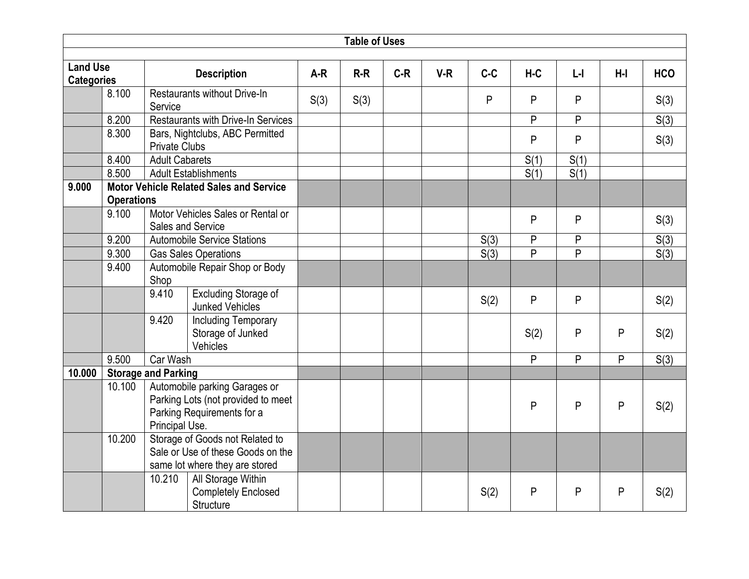|                                      |                   |                            |                                                                                                        |       | <b>Table of Uses</b> |       |       |       |       |                |       |            |
|--------------------------------------|-------------------|----------------------------|--------------------------------------------------------------------------------------------------------|-------|----------------------|-------|-------|-------|-------|----------------|-------|------------|
|                                      |                   |                            |                                                                                                        |       |                      |       |       |       |       |                |       |            |
| <b>Land Use</b><br><b>Categories</b> |                   |                            | <b>Description</b>                                                                                     | $A-R$ | $R-R$                | $C-R$ | $V-R$ | $C-C$ | $H-C$ | $L - I$        | $H-I$ | <b>HCO</b> |
|                                      | 8.100             | Service                    | Restaurants without Drive-In                                                                           | S(3)  | S(3)                 |       |       | P     | P     | P              |       | S(3)       |
|                                      | 8.200             |                            | Restaurants with Drive-In Services                                                                     |       |                      |       |       |       | P     | P              |       | S(3)       |
|                                      | 8.300             | <b>Private Clubs</b>       | Bars, Nightclubs, ABC Permitted                                                                        |       |                      |       |       |       | P     | P              |       | S(3)       |
|                                      | 8.400             | <b>Adult Cabarets</b>      |                                                                                                        |       |                      |       |       |       | S(1)  | S(1)           |       |            |
|                                      | 8.500             |                            | <b>Adult Establishments</b>                                                                            |       |                      |       |       |       | S(1)  | S(1)           |       |            |
| 9.000                                |                   |                            | <b>Motor Vehicle Related Sales and Service</b>                                                         |       |                      |       |       |       |       |                |       |            |
|                                      | <b>Operations</b> |                            |                                                                                                        |       |                      |       |       |       |       |                |       |            |
|                                      | 9.100             |                            | Motor Vehicles Sales or Rental or<br>Sales and Service                                                 |       |                      |       |       |       | P     | P              |       | S(3)       |
|                                      | 9.200             |                            | <b>Automobile Service Stations</b>                                                                     |       |                      |       |       | S(3)  | P     | P              |       | S(3)       |
|                                      | 9.300             |                            | <b>Gas Sales Operations</b>                                                                            |       |                      |       |       | S(3)  | P     | P              |       | S(3)       |
|                                      | 9.400             | Shop                       | Automobile Repair Shop or Body                                                                         |       |                      |       |       |       |       |                |       |            |
|                                      |                   | 9.410                      | <b>Excluding Storage of</b><br><b>Junked Vehicles</b>                                                  |       |                      |       |       | S(2)  | P     | $\mathsf{P}$   |       | S(2)       |
|                                      |                   | 9.420                      | <b>Including Temporary</b><br>Storage of Junked<br>Vehicles                                            |       |                      |       |       |       | S(2)  | P              | P     | S(2)       |
|                                      | 9.500             | Car Wash                   |                                                                                                        |       |                      |       |       |       | P     | $\overline{P}$ | P     | S(3)       |
| 10.000                               |                   | <b>Storage and Parking</b> |                                                                                                        |       |                      |       |       |       |       |                |       |            |
|                                      | 10.100            | Principal Use.             | Automobile parking Garages or<br>Parking Lots (not provided to meet<br>Parking Requirements for a      |       |                      |       |       |       | P     | P              | P     | S(2)       |
|                                      | 10.200            |                            | Storage of Goods not Related to<br>Sale or Use of these Goods on the<br>same lot where they are stored |       |                      |       |       |       |       |                |       |            |
|                                      |                   | 10.210                     | All Storage Within<br><b>Completely Enclosed</b><br>Structure                                          |       |                      |       |       | S(2)  | P     | P              | P     | S(2)       |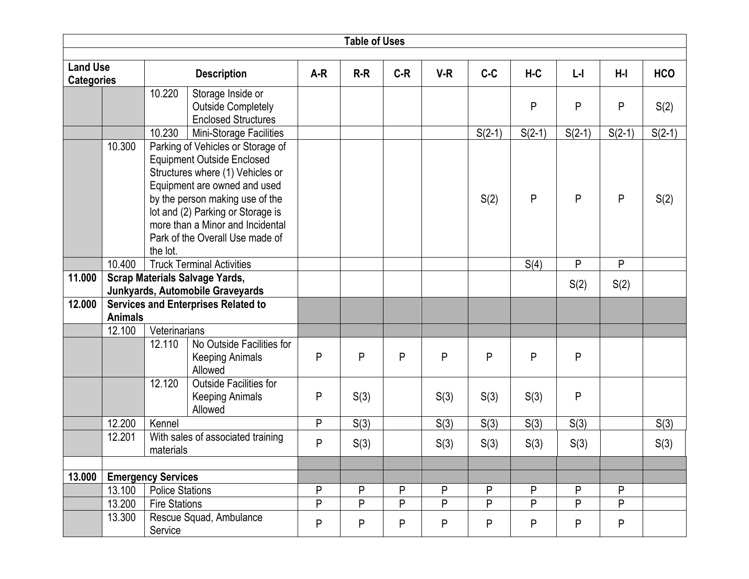|                   |                |                                            |                                                              |       | <b>Table of Uses</b> |       |       |          |          |           |                |            |
|-------------------|----------------|--------------------------------------------|--------------------------------------------------------------|-------|----------------------|-------|-------|----------|----------|-----------|----------------|------------|
| <b>Land Use</b>   |                |                                            |                                                              |       |                      |       |       |          |          |           |                |            |
| <b>Categories</b> |                |                                            | <b>Description</b>                                           | $A-R$ | $R-R$                | $C-R$ | $V-R$ | $C-C$    | $H-C$    | $L - I$   | $H-I$          | <b>HCO</b> |
|                   |                | 10.220                                     | Storage Inside or                                            |       |                      |       |       |          |          |           |                |            |
|                   |                |                                            | <b>Outside Completely</b>                                    |       |                      |       |       |          | P        | P         | P              | S(2)       |
|                   |                |                                            | <b>Enclosed Structures</b>                                   |       |                      |       |       |          |          |           |                |            |
|                   | 10.300         | 10.230                                     | Mini-Storage Facilities<br>Parking of Vehicles or Storage of |       |                      |       |       | $S(2-1)$ | $S(2-1)$ | $S(2-1)$  | $S(2-1)$       | $S(2-1)$   |
|                   |                |                                            | <b>Equipment Outside Enclosed</b>                            |       |                      |       |       |          |          |           |                |            |
|                   |                |                                            | Structures where (1) Vehicles or                             |       |                      |       |       |          |          |           |                |            |
|                   |                |                                            | Equipment are owned and used                                 |       |                      |       |       |          |          |           |                |            |
|                   |                |                                            | by the person making use of the                              |       |                      |       |       | S(2)     | P        | P         | P              | S(2)       |
|                   |                |                                            | lot and (2) Parking or Storage is                            |       |                      |       |       |          |          |           |                |            |
|                   |                |                                            | more than a Minor and Incidental                             |       |                      |       |       |          |          |           |                |            |
|                   |                | the lot.                                   | Park of the Overall Use made of                              |       |                      |       |       |          |          |           |                |            |
|                   | 10.400         |                                            | <b>Truck Terminal Activities</b>                             |       |                      |       |       |          | S(4)     | P         | P              |            |
| 11.000            |                | <b>Scrap Materials Salvage Yards,</b>      |                                                              |       |                      |       |       |          |          |           |                |            |
|                   |                | Junkyards, Automobile Graveyards           |                                                              |       |                      |       |       |          |          | S(2)      | S(2)           |            |
| 12.000            |                | <b>Services and Enterprises Related to</b> |                                                              |       |                      |       |       |          |          |           |                |            |
|                   | <b>Animals</b> |                                            |                                                              |       |                      |       |       |          |          |           |                |            |
|                   | 12.100         | Veterinarians                              |                                                              |       |                      |       |       |          |          |           |                |            |
|                   |                | 12.110                                     | No Outside Facilities for                                    |       |                      |       |       |          |          |           |                |            |
|                   |                |                                            | <b>Keeping Animals</b><br>Allowed                            | P     | P                    | P     | P     | P        | P        | P         |                |            |
|                   |                | 12.120                                     | <b>Outside Facilities for</b>                                |       |                      |       |       |          |          |           |                |            |
|                   |                |                                            | <b>Keeping Animals</b><br>Allowed                            | P     | S(3)                 |       | S(3)  | S(3)     | S(3)     | P         |                |            |
|                   | 12.200         | Kennel                                     |                                                              | P     | S(3)                 |       | S(3)  | S(3)     | S(3)     | S(3)      |                | S(3)       |
|                   | 12.201         | materials                                  | With sales of associated training                            | P     | S(3)                 |       | S(3)  | S(3)     | S(3)     | S(3)      |                | S(3)       |
|                   |                |                                            |                                                              |       |                      |       |       |          |          |           |                |            |
| 13.000            |                | <b>Emergency Services</b>                  |                                                              |       |                      |       |       |          |          |           |                |            |
|                   | 13.100         | <b>Police Stations</b>                     |                                                              | P     | P                    | P     | P     | P        | P        | P         | P              |            |
|                   | 13.200         | <b>Fire Stations</b>                       |                                                              | P     | P                    | P     | P     | P        | P        | P         | $\overline{P}$ |            |
|                   | 13.300         | Service                                    | Rescue Squad, Ambulance                                      | P     | P                    | P     | P     | P        | P        | ${\sf P}$ | P              |            |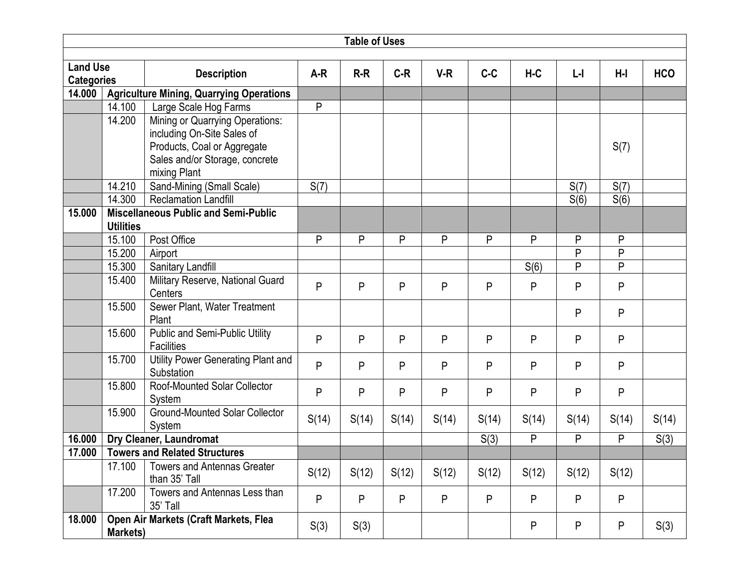|                                      |                  |                                                         |       | <b>Table of Uses</b> |       |       |       |       |         |       |            |
|--------------------------------------|------------------|---------------------------------------------------------|-------|----------------------|-------|-------|-------|-------|---------|-------|------------|
|                                      |                  |                                                         |       |                      |       |       |       |       |         |       |            |
| <b>Land Use</b><br><b>Categories</b> |                  | <b>Description</b>                                      | $A-R$ | $R-R$                | $C-R$ | $V-R$ | $C-C$ | $H-C$ | $L - I$ | $H-I$ | <b>HCO</b> |
| 14.000                               |                  | <b>Agriculture Mining, Quarrying Operations</b>         |       |                      |       |       |       |       |         |       |            |
|                                      | 14.100           | Large Scale Hog Farms                                   | P     |                      |       |       |       |       |         |       |            |
|                                      | 14.200           | <b>Mining or Quarrying Operations:</b>                  |       |                      |       |       |       |       |         |       |            |
|                                      |                  | including On-Site Sales of                              |       |                      |       |       |       |       |         |       |            |
|                                      |                  | Products, Coal or Aggregate                             |       |                      |       |       |       |       |         | S(7)  |            |
|                                      |                  | Sales and/or Storage, concrete                          |       |                      |       |       |       |       |         |       |            |
|                                      |                  | mixing Plant                                            |       |                      |       |       |       |       |         |       |            |
|                                      | 14.210           | Sand-Mining (Small Scale)                               | S(7)  |                      |       |       |       |       | S(7)    | S(7)  |            |
|                                      | 14.300           | <b>Reclamation Landfill</b>                             |       |                      |       |       |       |       | S(6)    | S(6)  |            |
| 15.000                               | <b>Utilities</b> | <b>Miscellaneous Public and Semi-Public</b>             |       |                      |       |       |       |       |         |       |            |
|                                      | 15.100           | Post Office                                             | P     | P                    | P     | P     | P     | P     | P       | P     |            |
|                                      | 15.200           | Airport                                                 |       |                      |       |       |       |       | P       | P     |            |
|                                      | 15.300           | Sanitary Landfill                                       |       |                      |       |       |       | S(6)  | P       | P     |            |
|                                      | 15.400           | Military Reserve, National Guard                        | P     | P                    | P     | P     | P     | P     | P       | P     |            |
|                                      |                  | Centers                                                 |       |                      |       |       |       |       |         |       |            |
|                                      | 15.500           | Sewer Plant, Water Treatment<br>Plant                   |       |                      |       |       |       |       | P       | P     |            |
|                                      | 15.600           | Public and Semi-Public Utility<br><b>Facilities</b>     | P     | P                    | P     | P     | P     | P     | P       | P     |            |
|                                      | 15.700           | <b>Utility Power Generating Plant and</b><br>Substation | P     | P                    | P     | P     | P     | P     | P       | P     |            |
|                                      | 15.800           | <b>Roof-Mounted Solar Collector</b><br>System           | P     | P                    | P     | P     | P     | P     | P       | P     |            |
|                                      | 15.900           | <b>Ground-Mounted Solar Collector</b><br>System         | S(14) | S(14)                | S(14) | S(14) | S(14) | S(14) | S(14)   | S(14) | S(14)      |
| 16.000                               |                  | Dry Cleaner, Laundromat                                 |       |                      |       |       | S(3)  | P     | P       | P     | S(3)       |
| 17.000                               |                  | <b>Towers and Related Structures</b>                    |       |                      |       |       |       |       |         |       |            |
|                                      | 17.100           | <b>Towers and Antennas Greater</b><br>than 35' Tall     | S(12) | S(12)                | S(12) | S(12) | S(12) | S(12) | S(12)   | S(12) |            |
|                                      | 17.200           | Towers and Antennas Less than<br>35' Tall               | P     | P                    | P     | P     | P     | P     | P       | P     |            |
| 18.000                               | Markets)         | Open Air Markets (Craft Markets, Flea                   | S(3)  | S(3)                 |       |       |       | P     | P       | P     | S(3)       |